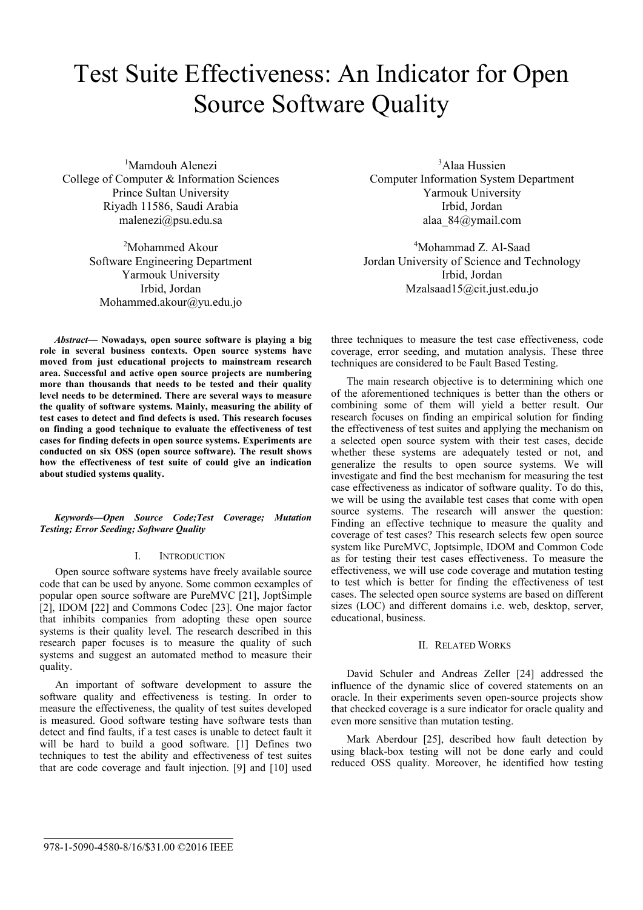# Test Suite Effectiveness: An Indicator for Open Source Software Quality

1 Mamdouh Alenezi College of Computer & Information Sciences Prince Sultan University Riyadh 11586, Saudi Arabia malenezi@psu.edu.sa

> <sup>2</sup>Mohammed Akour Software Engineering Department Yarmouk University Irbid, Jordan Mohammed.akour@yu.edu.jo

*Abstract***— Nowadays, open source software is playing a big role in several business contexts. Open source systems have moved from just educational projects to mainstream research area. Successful and active open source projects are numbering more than thousands that needs to be tested and their quality level needs to be determined. There are several ways to measure the quality of software systems. Mainly, measuring the ability of test cases to detect and find defects is used. This research focuses on finding a good technique to evaluate the effectiveness of test cases for finding defects in open source systems. Experiments are conducted on six OSS (open source software). The result shows how the effectiveness of test suite of could give an indication about studied systems quality.** 

*Keywords—Open Source Code;Test Coverage; Mutation Testing; Error Seeding; Software Quality* 

## I. INTRODUCTION

Open source software systems have freely available source code that can be used by anyone. Some common eexamples of popular open source software are PureMVC [21], JoptSimple [2], IDOM [22] and Commons Codec [23]. One major factor that inhibits companies from adopting these open source systems is their quality level. The research described in this research paper focuses is to measure the quality of such systems and suggest an automated method to measure their quality.

An important of software development to assure the software quality and effectiveness is testing. In order to measure the effectiveness, the quality of test suites developed is measured. Good software testing have software tests than detect and find faults, if a test cases is unable to detect fault it will be hard to build a good software. [1] Defines two techniques to test the ability and effectiveness of test suites that are code coverage and fault injection. [9] and [10] used

3 Alaa Hussien Computer Information System Department Yarmouk University Irbid, Jordan alaa\_84@ymail.com

4 Mohammad Z. Al-Saad Jordan University of Science and Technology Irbid, Jordan Mzalsaad15@cit.just.edu.jo

three techniques to measure the test case effectiveness, code coverage, error seeding, and mutation analysis. These three techniques are considered to be Fault Based Testing.

The main research objective is to determining which one of the aforementioned techniques is better than the others or combining some of them will yield a better result. Our research focuses on finding an empirical solution for finding the effectiveness of test suites and applying the mechanism on a selected open source system with their test cases, decide whether these systems are adequately tested or not, and generalize the results to open source systems. We will investigate and find the best mechanism for measuring the test case effectiveness as indicator of software quality. To do this, we will be using the available test cases that come with open source systems. The research will answer the question: Finding an effective technique to measure the quality and coverage of test cases? This research selects few open source system like PureMVC, Joptsimple, IDOM and Common Code as for testing their test cases effectiveness. To measure the effectiveness, we will use code coverage and mutation testing to test which is better for finding the effectiveness of test cases. The selected open source systems are based on different sizes (LOC) and different domains i.e. web, desktop, server, educational, business.

## II. RELATED WORKS

David Schuler and Andreas Zeller [24] addressed the influence of the dynamic slice of covered statements on an oracle. In their experiments seven open-source projects show that checked coverage is a sure indicator for oracle quality and even more sensitive than mutation testing.

Mark Aberdour [25], described how fault detection by using black-box testing will not be done early and could reduced OSS quality. Moreover, he identified how testing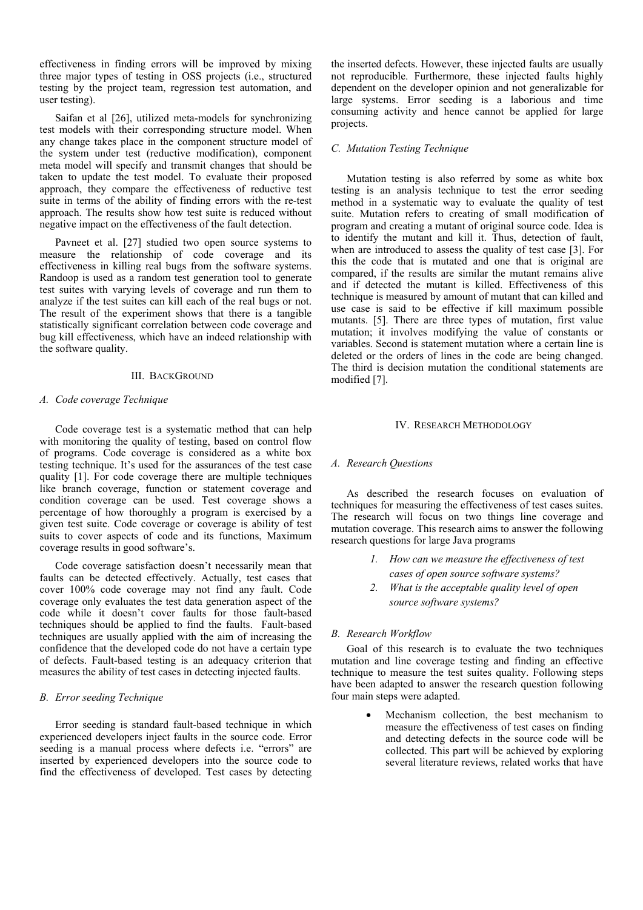effectiveness in finding errors will be improved by mixing three major types of testing in OSS projects (i.e., structured testing by the project team, regression test automation, and user testing).

Saifan et al [26], utilized meta-models for synchronizing test models with their corresponding structure model. When any change takes place in the component structure model of the system under test (reductive modification), component meta model will specify and transmit changes that should be taken to update the test model. To evaluate their proposed approach, they compare the effectiveness of reductive test suite in terms of the ability of finding errors with the re-test approach. The results show how test suite is reduced without negative impact on the effectiveness of the fault detection.

Pavneet et al. [27] studied two open source systems to measure the relationship of code coverage and its effectiveness in killing real bugs from the software systems. Randoop is used as a random test generation tool to generate test suites with varying levels of coverage and run them to analyze if the test suites can kill each of the real bugs or not. The result of the experiment shows that there is a tangible statistically significant correlation between code coverage and bug kill effectiveness, which have an indeed relationship with the software quality.

#### III. BACKGROUND

#### *A. Code coverage Technique*

Code coverage test is a systematic method that can help with monitoring the quality of testing, based on control flow of programs. Code coverage is considered as a white box testing technique. It's used for the assurances of the test case quality [1]. For code coverage there are multiple techniques like branch coverage, function or statement coverage and condition coverage can be used. Test coverage shows a percentage of how thoroughly a program is exercised by a given test suite. Code coverage or coverage is ability of test suits to cover aspects of code and its functions, Maximum coverage results in good software's.

Code coverage satisfaction doesn't necessarily mean that faults can be detected effectively. Actually, test cases that cover 100% code coverage may not find any fault. Code coverage only evaluates the test data generation aspect of the code while it doesn't cover faults for those fault-based techniques should be applied to find the faults. Fault-based techniques are usually applied with the aim of increasing the confidence that the developed code do not have a certain type of defects. Fault-based testing is an adequacy criterion that measures the ability of test cases in detecting injected faults.

## *B. Error seeding Technique*

Error seeding is standard fault-based technique in which experienced developers inject faults in the source code. Error seeding is a manual process where defects i.e. "errors" are inserted by experienced developers into the source code to find the effectiveness of developed. Test cases by detecting

the inserted defects. However, these injected faults are usually not reproducible. Furthermore, these injected faults highly dependent on the developer opinion and not generalizable for large systems. Error seeding is a laborious and time consuming activity and hence cannot be applied for large projects.

## *C. Mutation Testing Technique*

Mutation testing is also referred by some as white box testing is an analysis technique to test the error seeding method in a systematic way to evaluate the quality of test suite. Mutation refers to creating of small modification of program and creating a mutant of original source code. Idea is to identify the mutant and kill it. Thus, detection of fault, when are introduced to assess the quality of test case [3]. For this the code that is mutated and one that is original are compared, if the results are similar the mutant remains alive and if detected the mutant is killed. Effectiveness of this technique is measured by amount of mutant that can killed and use case is said to be effective if kill maximum possible mutants. [5]. There are three types of mutation, first value mutation; it involves modifying the value of constants or variables. Second is statement mutation where a certain line is deleted or the orders of lines in the code are being changed. The third is decision mutation the conditional statements are modified [7].

#### IV. RESEARCH METHODOLOGY

#### *A. Research Questions*

As described the research focuses on evaluation of techniques for measuring the effectiveness of test cases suites. The research will focus on two things line coverage and mutation coverage. This research aims to answer the following research questions for large Java programs

- *1. How can we measure the effectiveness of test cases of open source software systems?*
- *2. What is the acceptable quality level of open source software systems?*

## *B. Research Workflow*

Goal of this research is to evaluate the two techniques mutation and line coverage testing and finding an effective technique to measure the test suites quality. Following steps have been adapted to answer the research question following four main steps were adapted.

> • Mechanism collection, the best mechanism to measure the effectiveness of test cases on finding and detecting defects in the source code will be collected. This part will be achieved by exploring several literature reviews, related works that have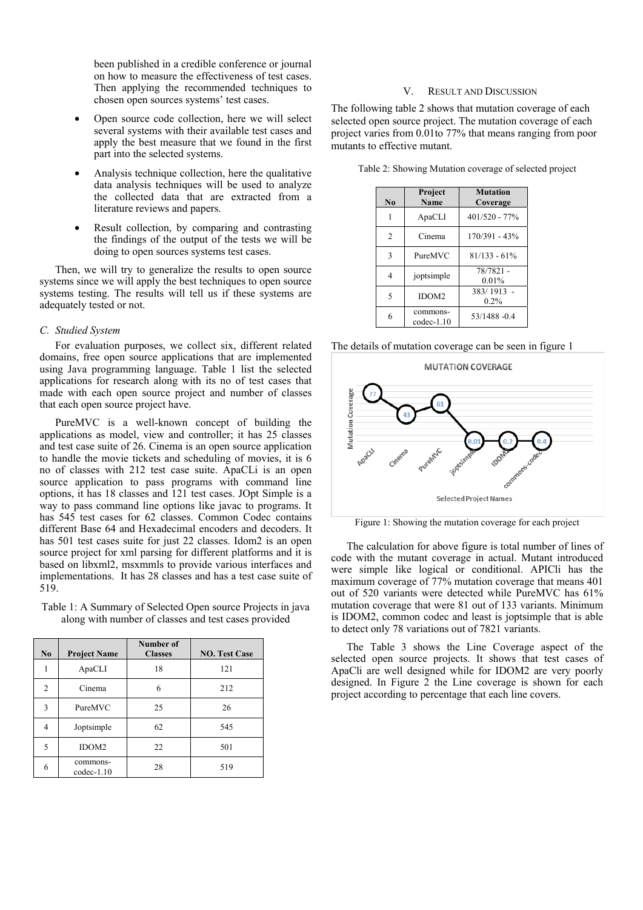been published in a credible conference or journal on how to measure the effectiveness of test cases. Then applying the recommended techniques to chosen open sources systems' test cases.

- Open source code collection, here we will select several systems with their available test cases and apply the best measure that we found in the first part into the selected systems.
- Analysis technique collection, here the qualitative data analysis techniques will be used to analyze the collected data that are extracted from a literature reviews and papers.
- Result collection, by comparing and contrasting the findings of the output of the tests we will be doing to open sources systems test cases.

Then, we will try to generalize the results to open source systems since we will apply the best techniques to open source systems testing. The results will tell us if these systems are adequately tested or not.

## *C. Studied System*

For evaluation purposes, we collect six, different related domains, free open source applications that are implemented using Java programming language. Table 1 list the selected applications for research along with its no of test cases that made with each open source project and number of classes that each open source project have.

PureMVC is a well-known concept of building the applications as model, view and controller; it has 25 classes and test case suite of 26. Cinema is an open source application to handle the movie tickets and scheduling of movies, it is 6 no of classes with 212 test case suite. ApaCLi is an open source application to pass programs with command line options, it has 18 classes and 121 test cases. JOpt Simple is a way to pass command line options like javac to programs. It has 545 test cases for 62 classes. Common Codec contains different Base 64 and Hexadecimal encoders and decoders. It has 501 test cases suite for just 22 classes. Idom2 is an open source project for xml parsing for different platforms and it is based on libxml2, msxmmls to provide various interfaces and implementations. It has 28 classes and has a test case suite of 519.

Table 1: A Summary of Selected Open source Projects in java along with number of classes and test cases provided

| $\bf No$ | <b>Project Name</b>      | Number of<br><b>Classes</b> | <b>NO. Test Case</b> |
|----------|--------------------------|-----------------------------|----------------------|
|          | ApaCLI                   | 18                          | 121                  |
| 2        | Cinema                   | 6                           | 212                  |
| 3        | PureMVC                  | 25                          | 26                   |
| 4        | Joptsimple               | 62                          | 545                  |
| 5        | IDOM <sub>2</sub>        | 22                          | 501                  |
| 6        | commons-<br>$codec-1.10$ | 28                          | 519                  |

## V. RESULT AND DISCUSSION

The following table 2 shows that mutation coverage of each selected open source project. The mutation coverage of each project varies from 0.01to 77% that means ranging from poor mutants to effective mutant.

| $\bf No$       | Project<br><b>Name</b>   | <b>Mutation</b><br>Coverage |
|----------------|--------------------------|-----------------------------|
|                | ApaCLI                   | $401/520 - 77%$             |
| $\overline{2}$ | Cinema                   | 170/391 - 43%               |
| 3              | PureMVC                  | $81/133 - 61\%$             |
| 4              | joptsimple               | 78/7821 -<br>0.01%          |
| 5              | IDOM <sub>2</sub>        | 383/1913 -<br>$0.2\%$       |
| 6              | commons-<br>$codec-1.10$ | 53/1488 -0.4                |





Figure 1: Showing the mutation coverage for each project

The calculation for above figure is total number of lines of code with the mutant coverage in actual. Mutant introduced were simple like logical or conditional. APICli has the maximum coverage of 77% mutation coverage that means 401 out of 520 variants were detected while PureMVC has 61% mutation coverage that were 81 out of 133 variants. Minimum is IDOM2, common codec and least is joptsimple that is able to detect only 78 variations out of 7821 variants.

The Table 3 shows the Line Coverage aspect of the selected open source projects. It shows that test cases of ApaCli are well designed while for IDOM2 are very poorly designed. In Figure 2 the Line coverage is shown for each project according to percentage that each line covers.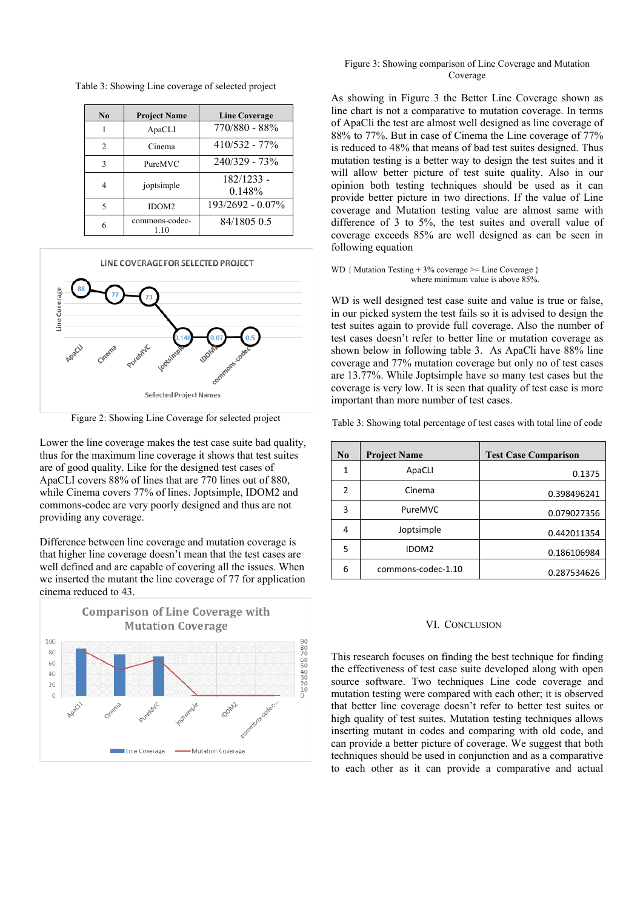| No             | <b>Project Name</b>   | <b>Line Coverage</b> |
|----------------|-----------------------|----------------------|
|                | ApaCLI                | 770/880 - 88%        |
| $\mathfrak{D}$ | Cinema                | $410/532 - 77\%$     |
| 3              | PureMVC               | $240/329 - 73\%$     |
|                | joptsimple            | 182/1233 -<br>0.148% |
|                | IDOM <sub>2</sub>     | 193/2692 - 0.07%     |
|                | commons-codec-<br>110 | 84/1805 0.5          |

Table 3: Showing Line coverage of selected project



Figure 2: Showing Line Coverage for selected project

Lower the line coverage makes the test case suite bad quality, thus for the maximum line coverage it shows that test suites are of good quality. Like for the designed test cases of ApaCLI covers 88% of lines that are 770 lines out of 880, while Cinema covers 77% of lines. Joptsimple, IDOM2 and commons-codec are very poorly designed and thus are not providing any coverage.

Difference between line coverage and mutation coverage is that higher line coverage doesn't mean that the test cases are well defined and are capable of covering all the issues. When we inserted the mutant the line coverage of 77 for application cinema reduced to 43.



## Figure 3: Showing comparison of Line Coverage and Mutation Coverage

As showing in Figure 3 the Better Line Coverage shown as line chart is not a comparative to mutation coverage. In terms of ApaCli the test are almost well designed as line coverage of 88% to 77%. But in case of Cinema the Line coverage of 77% is reduced to 48% that means of bad test suites designed. Thus mutation testing is a better way to design the test suites and it will allow better picture of test suite quality. Also in our opinion both testing techniques should be used as it can provide better picture in two directions. If the value of Line coverage and Mutation testing value are almost same with difference of 3 to 5%, the test suites and overall value of coverage exceeds 85% are well designed as can be seen in following equation

```
WD { Mutation Testing +3\% coverage >= Line Coverage }
        where minimum value is above 85%.
```
WD is well designed test case suite and value is true or false, in our picked system the test fails so it is advised to design the test suites again to provide full coverage. Also the number of test cases doesn't refer to better line or mutation coverage as shown below in following table 3. As ApaCli have 88% line coverage and 77% mutation coverage but only no of test cases are 13.77%. While Joptsimple have so many test cases but the coverage is very low. It is seen that quality of test case is more important than more number of test cases.

Table 3: Showing total percentage of test cases with total line of code

| $\mathbf{N}\mathbf{0}$ | <b>Project Name</b> | <b>Test Case Comparison</b> |
|------------------------|---------------------|-----------------------------|
| 1                      | ApaCLI              | 0.1375                      |
| 2                      | Cinema              | 0.398496241                 |
| 3                      | PureMVC             | 0.079027356                 |
| 4                      | Joptsimple          | 0.442011354                 |
| 5                      | IDOM <sub>2</sub>   | 0.186106984                 |
| 6                      | commons-codec-1.10  | 0.287534626                 |

#### VI. CONCLUSION

This research focuses on finding the best technique for finding the effectiveness of test case suite developed along with open source software. Two techniques Line code coverage and mutation testing were compared with each other; it is observed that better line coverage doesn't refer to better test suites or high quality of test suites. Mutation testing techniques allows inserting mutant in codes and comparing with old code, and can provide a better picture of coverage. We suggest that both techniques should be used in conjunction and as a comparative to each other as it can provide a comparative and actual